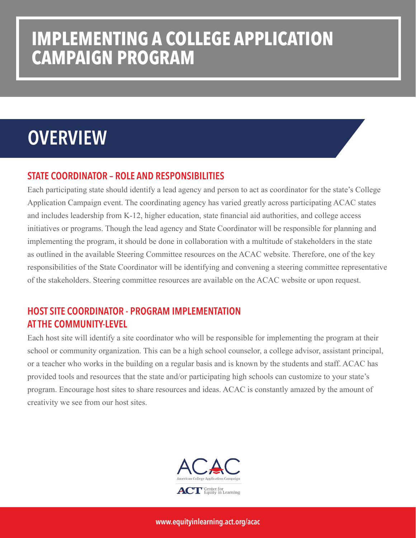### **IMPLEMENTING A COLLEGE APPLICATION CAMPAIGN PROGRAM**

## **OVERVIEW**

### STATE COORDINATOR – ROLE AND RESPONSIBILITIES

Each participating state should identify a lead agency and person to act as coordinator for the state's College Application Campaign event. The coordinating agency has varied greatly across participating ACAC states and includes leadership from K-12, higher education, state financial aid authorities, and college access initiatives or programs. Though the lead agency and State Coordinator will be responsible for planning and implementing the program, it should be done in collaboration with a multitude of stakeholders in the state as outlined in the available Steering Committee resources on the ACAC website. Therefore, one of the key responsibilities of the State Coordinator will be identifying and convening a steering committee representative of the stakeholders. Steering committee resources are available on the ACAC website or upon request.

### HOST SITE COORDINATOR - PROGRAM IMPLEMENTATION AT THE COMMUNITY-LEVEL

Each host site will identify a site coordinator who will be responsible for implementing the program at their school or community organization. This can be a high school counselor, a college advisor, assistant principal, or a teacher who works in the building on a regular basis and is known by the students and staff. ACAC has provided tools and resources that the state and/or participating high schools can customize to your state's program. Encourage host sites to share resources and ideas. ACAC is constantly amazed by the amount of creativity we see from our host sites.



www.equityinlearning.act.org/acac